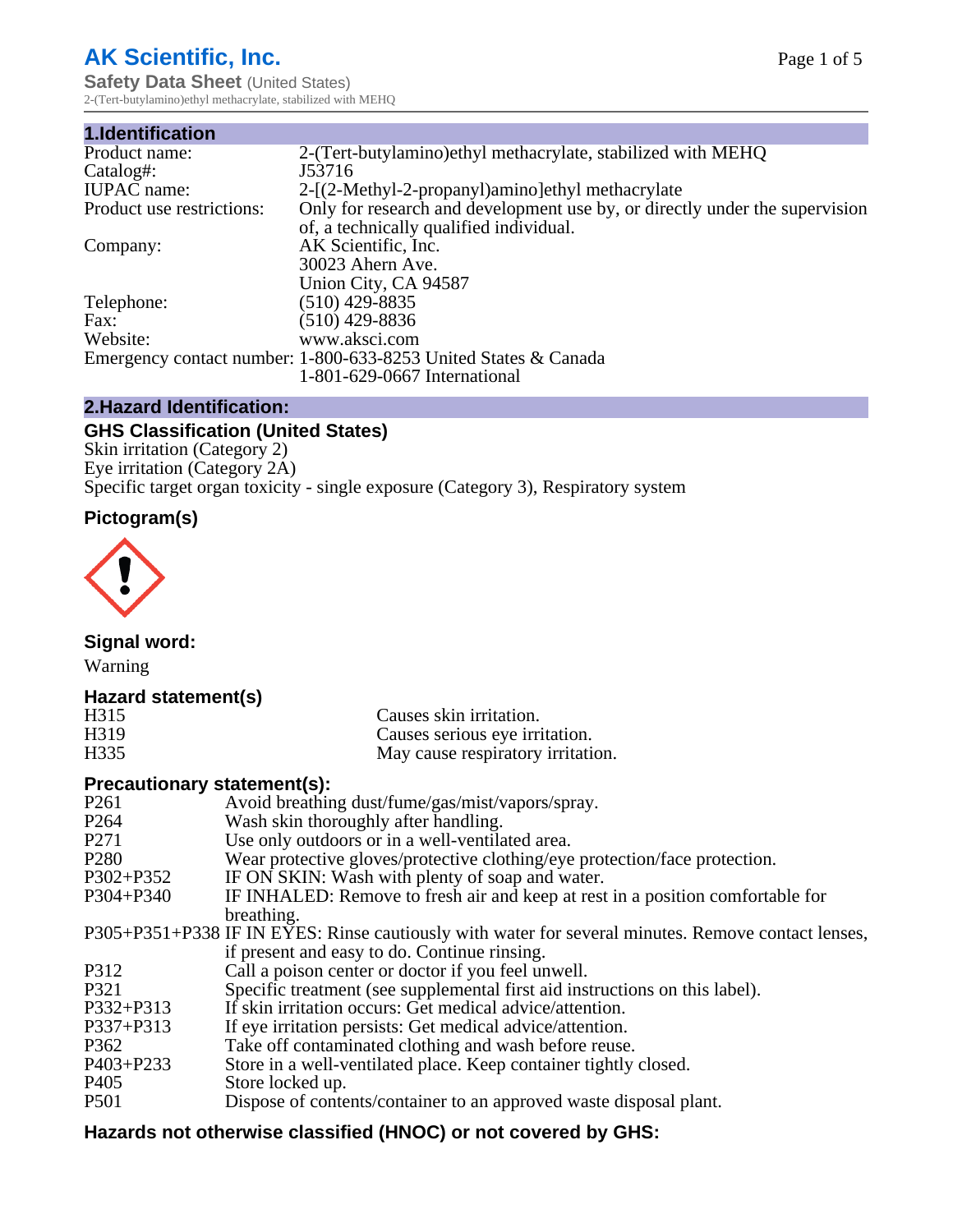# **AK Scientific, Inc.**

**Safety Data Sheet (United States)** 2-(Tert-butylamino)ethyl methacrylate, stabilized with MEHQ

| 1.Identification          |                                                                             |
|---------------------------|-----------------------------------------------------------------------------|
| Product name:             | 2-(Tert-butylamino) ethyl methacrylate, stabilized with MEHQ                |
| Catalog#:                 | J53716                                                                      |
| <b>IUPAC</b> name:        | 2-[(2-Methyl-2-propanyl)amino]ethyl methacrylate                            |
| Product use restrictions: | Only for research and development use by, or directly under the supervision |
|                           | of, a technically qualified individual.                                     |
| Company:                  | AK Scientific, Inc.                                                         |
|                           | 30023 Ahern Ave.                                                            |
|                           | Union City, CA 94587                                                        |
| Telephone:                | $(510)$ 429-8835                                                            |
| Fax:                      | $(510)$ 429-8836                                                            |
| Website:                  | www.aksci.com                                                               |
|                           | Emergency contact number: 1-800-633-8253 United States & Canada             |
|                           | 1-801-629-0667 International                                                |

# **2.Hazard Identification:**

# **GHS Classification (United States)**

Skin irritation (Category 2) Eye irritation (Category 2A) Specific target organ toxicity - single exposure (Category 3), Respiratory system

# **Pictogram(s)**



**Signal word:**

Warning

# **Hazard statement(s)**

| H315 | Causes skin irritation.           |
|------|-----------------------------------|
| H319 | Causes serious eye irritation.    |
| H335 | May cause respiratory irritation. |

# **Precautionary statement(s):**

| P <sub>261</sub> | Avoid breathing dust/fume/gas/mist/vapors/spray.                                                   |
|------------------|----------------------------------------------------------------------------------------------------|
| P <sub>264</sub> | Wash skin thoroughly after handling.                                                               |
| P <sub>271</sub> | Use only outdoors or in a well-ventilated area.                                                    |
| P <sub>280</sub> | Wear protective gloves/protective clothing/eye protection/face protection.                         |
| P302+P352        | IF ON SKIN: Wash with plenty of soap and water.                                                    |
| $P304 + P340$    | IF INHALED: Remove to fresh air and keep at rest in a position comfortable for                     |
|                  | breathing.                                                                                         |
|                  | P305+P351+P338 IF IN EYES: Rinse cautiously with water for several minutes. Remove contact lenses, |
|                  | if present and easy to do. Continue rinsing.                                                       |
| P312             | Call a poison center or doctor if you feel unwell.                                                 |
| P321             | Specific treatment (see supplemental first aid instructions on this label).                        |
| P332+P313        | If skin irritation occurs: Get medical advice/attention.                                           |
| P337+P313        | If eye irritation persists: Get medical advice/attention.                                          |
| P362             | Take off contaminated clothing and wash before reuse.                                              |
| $P403 + P233$    | Store in a well-ventilated place. Keep container tightly closed.                                   |
| P <sub>405</sub> | Store locked up.                                                                                   |
| P <sub>501</sub> | Dispose of contents/container to an approved waste disposal plant.                                 |
|                  |                                                                                                    |

# **Hazards not otherwise classified (HNOC) or not covered by GHS:**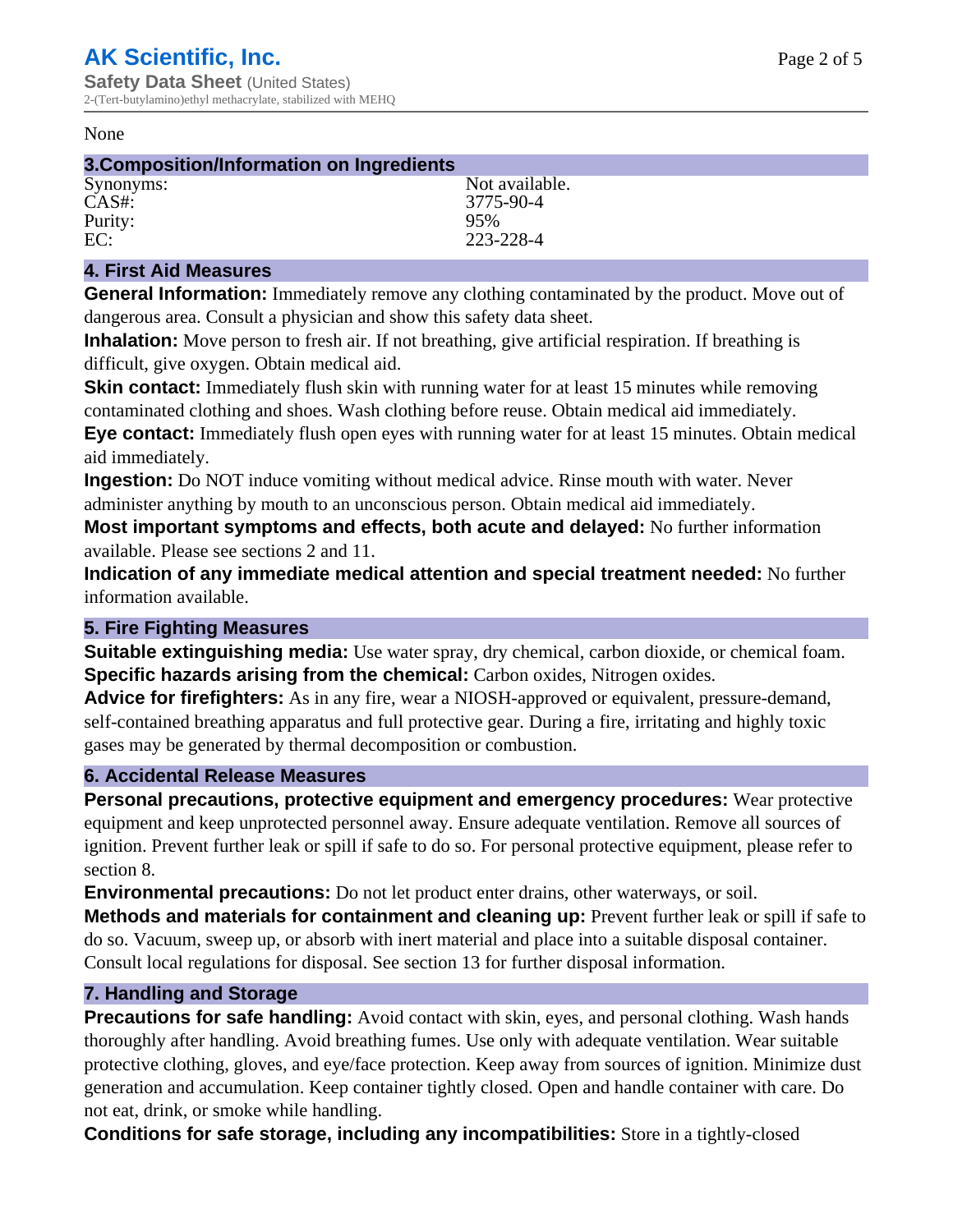#### None

| 3. Composition/Information on Ingredients |                |  |
|-------------------------------------------|----------------|--|
| Synonyms:                                 | Not available. |  |
| CAS#                                      | 3775-90-4      |  |
| Purity:                                   | 95%            |  |
| EC:                                       | 223-228-4      |  |

#### **4. First Aid Measures**

**General Information:** Immediately remove any clothing contaminated by the product. Move out of dangerous area. Consult a physician and show this safety data sheet.

**Inhalation:** Move person to fresh air. If not breathing, give artificial respiration. If breathing is difficult, give oxygen. Obtain medical aid.

**Skin contact:** Immediately flush skin with running water for at least 15 minutes while removing contaminated clothing and shoes. Wash clothing before reuse. Obtain medical aid immediately. **Eye contact:** Immediately flush open eyes with running water for at least 15 minutes. Obtain medical aid immediately.

**Ingestion:** Do NOT induce vomiting without medical advice. Rinse mouth with water. Never administer anything by mouth to an unconscious person. Obtain medical aid immediately.

**Most important symptoms and effects, both acute and delayed:** No further information available. Please see sections 2 and 11.

**Indication of any immediate medical attention and special treatment needed:** No further information available.

#### **5. Fire Fighting Measures**

**Suitable extinguishing media:** Use water spray, dry chemical, carbon dioxide, or chemical foam. **Specific hazards arising from the chemical:** Carbon oxides, Nitrogen oxides.

**Advice for firefighters:** As in any fire, wear a NIOSH-approved or equivalent, pressure-demand, self-contained breathing apparatus and full protective gear. During a fire, irritating and highly toxic gases may be generated by thermal decomposition or combustion.

# **6. Accidental Release Measures**

**Personal precautions, protective equipment and emergency procedures:** Wear protective equipment and keep unprotected personnel away. Ensure adequate ventilation. Remove all sources of ignition. Prevent further leak or spill if safe to do so. For personal protective equipment, please refer to section 8.

**Environmental precautions:** Do not let product enter drains, other waterways, or soil.

**Methods and materials for containment and cleaning up:** Prevent further leak or spill if safe to do so. Vacuum, sweep up, or absorb with inert material and place into a suitable disposal container. Consult local regulations for disposal. See section 13 for further disposal information.

#### **7. Handling and Storage**

**Precautions for safe handling:** Avoid contact with skin, eyes, and personal clothing. Wash hands thoroughly after handling. Avoid breathing fumes. Use only with adequate ventilation. Wear suitable protective clothing, gloves, and eye/face protection. Keep away from sources of ignition. Minimize dust generation and accumulation. Keep container tightly closed. Open and handle container with care. Do not eat, drink, or smoke while handling.

**Conditions for safe storage, including any incompatibilities:** Store in a tightly-closed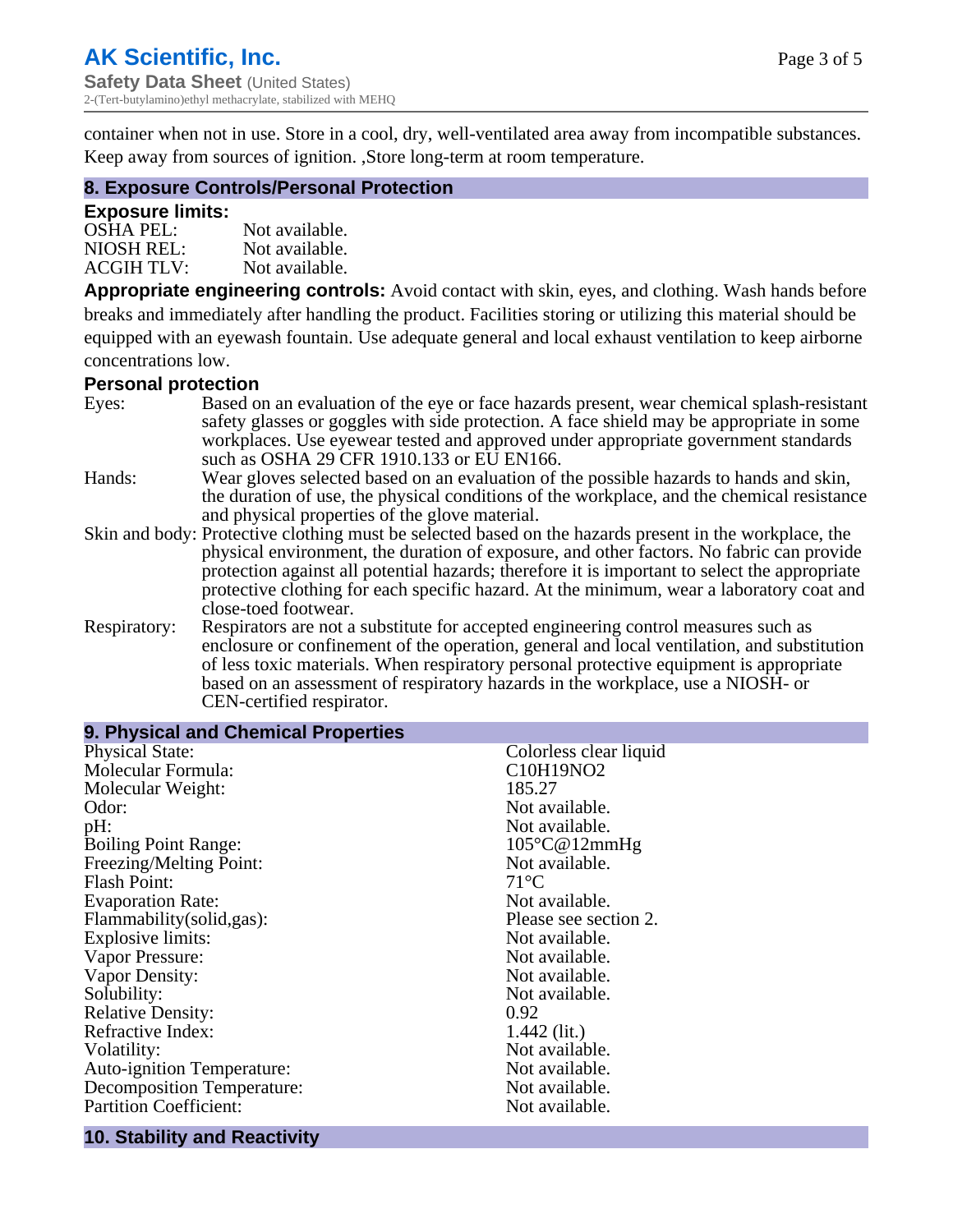container when not in use. Store in a cool, dry, well-ventilated area away from incompatible substances. Keep away from sources of ignition. ,Store long-term at room temperature.

#### **8. Exposure Controls/Personal Protection**

#### **Exposure limits:**

| <b>OSHA PEL:</b>  | Not available. |
|-------------------|----------------|
| NIOSH REL:        | Not available. |
| <b>ACGIH TLV:</b> | Not available. |

**Appropriate engineering controls:** Avoid contact with skin, eyes, and clothing. Wash hands before breaks and immediately after handling the product. Facilities storing or utilizing this material should be equipped with an eyewash fountain. Use adequate general and local exhaust ventilation to keep airborne concentrations low.

#### **Personal protection**

| Eyes:        | Based on an evaluation of the eye or face hazards present, wear chemical splash-resistant<br>safety glasses or goggles with side protection. A face shield may be appropriate in some |
|--------------|---------------------------------------------------------------------------------------------------------------------------------------------------------------------------------------|
|              | workplaces. Use eyewear tested and approved under appropriate government standards<br>such as OSHA 29 CFR 1910.133 or EU EN166.                                                       |
| Hands:       | Wear gloves selected based on an evaluation of the possible hazards to hands and skin,                                                                                                |
|              | the duration of use, the physical conditions of the workplace, and the chemical resistance                                                                                            |
|              | and physical properties of the glove material.                                                                                                                                        |
|              | Skin and body: Protective clothing must be selected based on the hazards present in the workplace, the                                                                                |
|              | physical environment, the duration of exposure, and other factors. No fabric can provide                                                                                              |
|              | protection against all potential hazards; therefore it is important to select the appropriate                                                                                         |
|              | protective clothing for each specific hazard. At the minimum, wear a laboratory coat and                                                                                              |
|              | close-toed footwear.                                                                                                                                                                  |
| Respiratory: | Respirators are not a substitute for accepted engineering control measures such as<br>enclosure or confinement of the operation, general and local ventilation, and substitution      |
|              | of less toxic materials. When respiratory personal protective equipment is appropriate                                                                                                |
|              | based on an assessment of respiratory hazards in the workplace, use a NIOSH- or                                                                                                       |
|              | CEN-certified respirator.                                                                                                                                                             |

| 9. Physical and Chemical Properties |                        |
|-------------------------------------|------------------------|
| <b>Physical State:</b>              | Colorless clear liquid |
| Molecular Formula:                  | C10H19NO2              |
| Molecular Weight:                   | 185.27                 |
| Odor:                               | Not available.         |
| pH:                                 | Not available.         |
| <b>Boiling Point Range:</b>         | $105^{\circ}$ C@12mmHg |
| Freezing/Melting Point:             | Not available.         |
| <b>Flash Point:</b>                 | $71^{\circ}C$          |
| <b>Evaporation Rate:</b>            | Not available.         |
| Flammability(solid,gas):            | Please see section 2.  |
| <b>Explosive limits:</b>            | Not available.         |
| Vapor Pressure:                     | Not available.         |
| Vapor Density:                      | Not available.         |
| Solubility:                         | Not available.         |
| <b>Relative Density:</b>            | 0.92                   |
| Refractive Index:                   | $1.442$ (lit.)         |
| Volatility:                         | Not available.         |
| <b>Auto-ignition Temperature:</b>   | Not available.         |
| <b>Decomposition Temperature:</b>   | Not available.         |
| <b>Partition Coefficient:</b>       | Not available.         |

#### **10. Stability and Reactivity**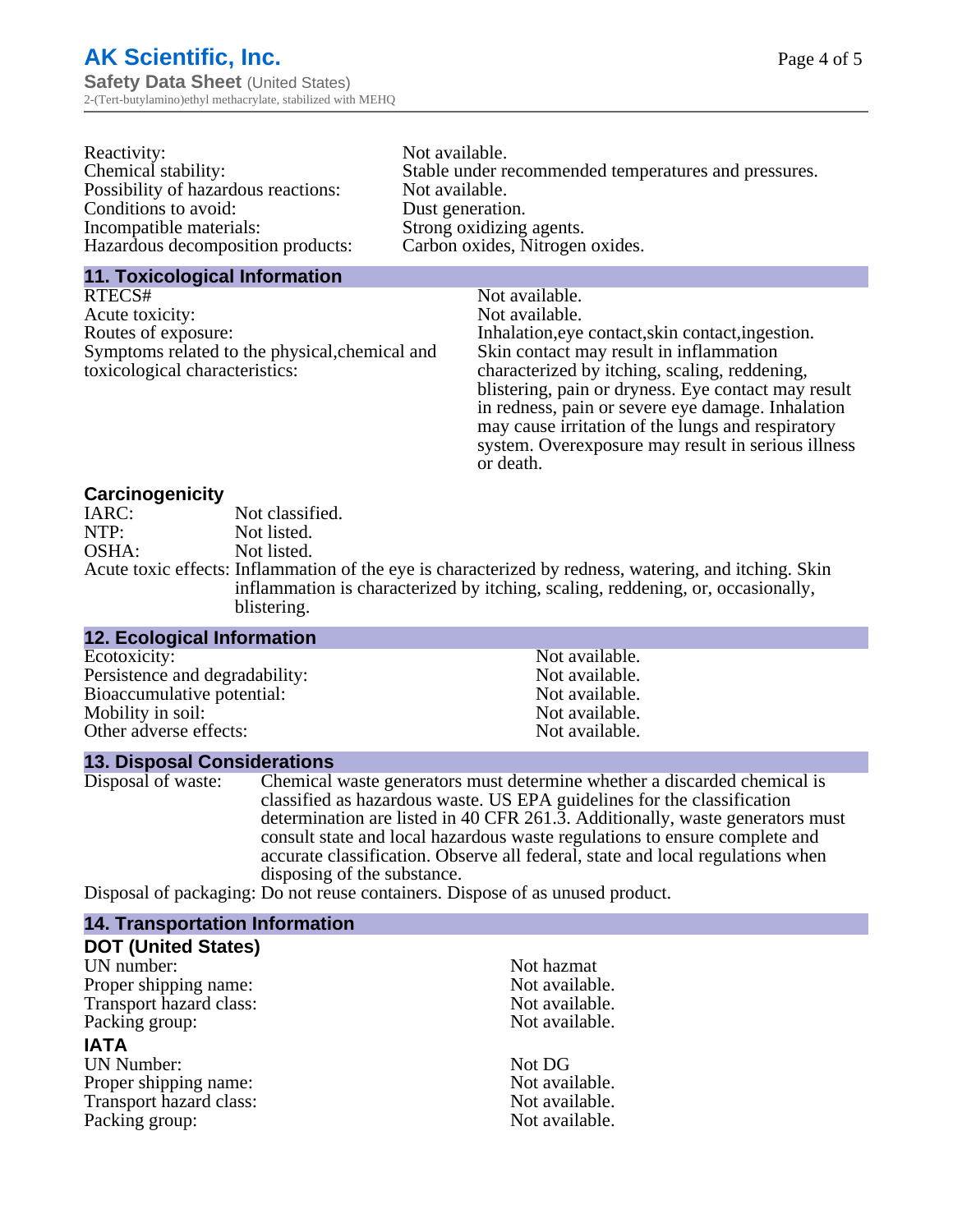| Reactivity:                         | Not available.                                       |
|-------------------------------------|------------------------------------------------------|
| Chemical stability:                 | Stable under recommended temperatures and pressures. |
| Possibility of hazardous reactions: | Not available.                                       |
| Conditions to avoid:                | Dust generation.                                     |
| Incompatible materials:             | Strong oxidizing agents.                             |
| Hazardous decomposition products:   | Carbon oxides, Nitrogen oxides.                      |
|                                     |                                                      |

#### **11. Toxicological Information**

| RTECS#                                         | Not available.                                      |
|------------------------------------------------|-----------------------------------------------------|
| Acute toxicity:                                | Not available.                                      |
| Routes of exposure:                            | Inhalation, eye contact, skin contact, ingestion.   |
| Symptoms related to the physical, chemical and | Skin contact may result in inflammation             |
| toxicological characteristics:                 | characterized by itching, scaling, reddening,       |
|                                                | blistering, pain or dryness. Eye contact may result |
|                                                | in redness, pain or severe eye damage. Inhalation   |
|                                                | may cause irritation of the lungs and respiratory   |
|                                                | system. Overexposure may result in serious illness  |

or death.

#### **Carcinogenicity**

| IARC: | Not classified.                                                                                       |
|-------|-------------------------------------------------------------------------------------------------------|
| NTP:  | Not listed.                                                                                           |
| OSHA: | Not listed.                                                                                           |
|       | Acute toxic effects: Inflammation of the eye is characterized by redness, watering, and itching. Skin |
|       | inflammation is characterized by itching, scaling, reddening, or, occasionally,                       |
|       | blistering.                                                                                           |

| <b>12. Ecological Information</b> |                |  |
|-----------------------------------|----------------|--|
| Ecotoxicity:                      | Not available. |  |
| Persistence and degradability:    | Not available. |  |
| Bioaccumulative potential:        | Not available. |  |
| Mobility in soil:                 | Not available. |  |
| Other adverse effects:            | Not available. |  |
|                                   |                |  |

#### **13. Disposal Considerations**

Disposal of waste: Chemical waste generators must determine whether a discarded chemical is classified as hazardous waste. US EPA guidelines for the classification determination are listed in 40 CFR 261.3. Additionally, waste generators must consult state and local hazardous waste regulations to ensure complete and accurate classification. Observe all federal, state and local regulations when disposing of the substance.

Disposal of packaging: Do not reuse containers. Dispose of as unused product.

| <b>14. Transportation Information</b> |                |
|---------------------------------------|----------------|
| <b>DOT (United States)</b>            |                |
| UN number:                            | Not hazmat     |
| Proper shipping name:                 | Not available. |
| Transport hazard class:               | Not available. |
| Packing group:                        | Not available. |
| <b>IATA</b>                           |                |
| <b>UN Number:</b>                     | Not DG         |
| Proper shipping name:                 | Not available. |
| Transport hazard class:               | Not available. |
| Packing group:                        | Not available. |